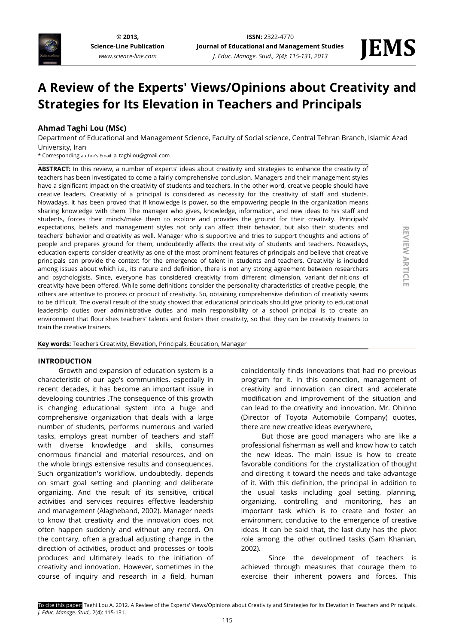

**[© 2013,](http://www.science-line.com/index/)  [Science-Line Publication](http://www.science-line.com/index/)** *www.science-line.com*

**REVIEW ARTICLE** 

**ARTICLE**

# **A Review of the Experts' Views/Opinions about Creativity and Strategies for Its Elevation in Teachers and Principals**

# **Ahmad Taghi Lou (MSc)**

Department of Educational and Management Science, Faculty of Social science, Central Tehran Branch, Islamic Azad University, Iran

\* Corresponding author's Email: a\_taghilou@gmail.com

**ABSTRACT:** In this review, a number of experts' ideas about creativity and strategies to enhance the creativity of teachers has been investigated to come a fairly comprehensive conclusion. Managers and their management styles have a significant impact on the creativity of students and teachers. In the other word, creative people should have creative leaders. Creativity of a principal is considered as necessity for the creativity of staff and students. Nowadays, it has been proved that if knowledge is power, so the empowering people in the organization means sharing knowledge with them. The manager who gives, knowledge, information, and new ideas to his staff and students, forces their minds/make them to explore and provides the ground for their creativity. Principals' expectations, beliefs and management styles not only can affect their behavior, but also their students and teachers' behavior and creativity as well. Manager who is supportive and tries to support thoughts and actions of people and prepares ground for them, undoubtedly affects the creativity of students and teachers. Nowadays, education experts consider creativity as one of the most prominent features of principals and believe that creative principals can provide the context for the emergence of talent in students and teachers. Creativity is included among issues about which i.e., its nature and definition, there is not any strong agreement between researchers and psychologists. Since, everyone has considered creativity from different dimension, variant definitions of creativity have been offered. While some definitions consider the personality characteristics of creative people, the others are attentive to process or product of creativity. So, obtaining comprehensive definition of creativity seems to be difficult. The overall result of the study showed that educational principals should give priority to educational leadership duties over administrative duties and main responsibility of a school principal is to create an environment that flourishes teachers' talents and fosters their creativity, so that they can be creativity trainers to train the creative trainers.

**Key words:** Teachers Creativity, Elevation, Principals, Education, Manager

### **INTRODUCTION**

Growth and expansion of education system is a characteristic of our age's communities. especially in recent decades, it has become an important issue in developing countries .The consequence of this growth is changing educational system into a huge and comprehensive organization that deals with a large number of students, performs numerous and varied tasks, employs great number of teachers and staff with diverse knowledge and skills, consumes enormous financial and material resources, and on the whole brings extensive results and consequences. Such organization's workflow, undoubtedly, depends on smart goal setting and planning and deliberate organizing. And the result of its sensitive, critical activities and services requires effective leadership and management (Alagheband, 2002). Manager needs to know that creativity and the innovation does not often happen suddenly and without any record. On the contrary, often a gradual adjusting change in the direction of activities, product and processes or tools produces and ultimately leads to the initiation of creativity and innovation. However, sometimes in the course of inquiry and research in a field, human

coincidentally finds innovations that had no previous program for it. In this connection, management of creativity and innovation can direct and accelerate modification and improvement of the situation and can lead to the creativity and innovation. Mr. Ohinno (Director of Toyota Automobile Company) quotes, there are new creative ideas everywhere,

But those are good managers who are like a professional fisherman as well and know how to catch the new ideas. The main issue is how to create favorable conditions for the crystallization of thought and directing it toward the needs and take advantage of it. With this definition, the principal in addition to the usual tasks including goal setting, planning, organizing, controlling and monitoring, has an important task which is to create and foster an environment conducive to the emergence of creative ideas. It can be said that, the last duty has the pivot role among the other outlined tasks (Sam Khanian, 2002).

Since the development of teachers is achieved through measures that courage them to exercise their inherent powers and forces. This

115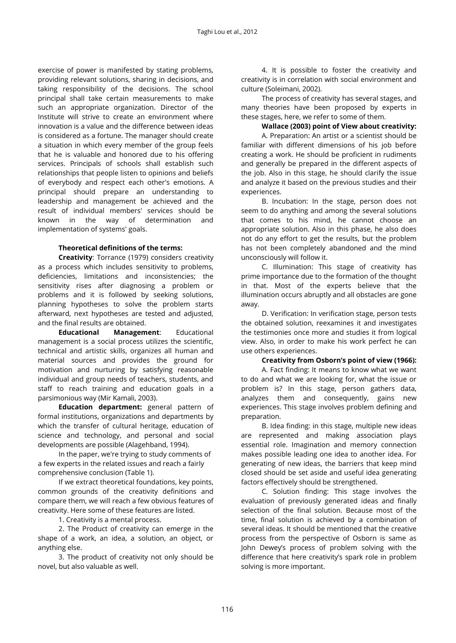exercise of power is manifested by stating problems, providing relevant solutions, sharing in decisions, and taking responsibility of the decisions. The school principal shall take certain measurements to make such an appropriate organization. Director of the Institute will strive to create an environment where innovation is a value and the difference between ideas is considered as a fortune. The manager should create a situation in which every member of the group feels that he is valuable and honored due to his offering services. Principals of schools shall establish such relationships that people listen to opinions and beliefs of everybody and respect each other's emotions. A principal should prepare an understanding to leadership and management be achieved and the result of individual members' services should be known in the way of determination and implementation of systems' goals.

# **Theoretical definitions of the terms:**

**Creativity**: Torrance (1979) considers creativity as a process which includes sensitivity to problems, deficiencies, limitations and inconsistencies; the sensitivity rises after diagnosing a problem or problems and it is followed by seeking solutions, planning hypotheses to solve the problem starts afterward, next hypotheses are tested and adjusted, and the final results are obtained.

**Educational Management**: Educational management is a social process utilizes the scientific, technical and artistic skills, organizes all human and material sources and provides the ground for motivation and nurturing by satisfying reasonable individual and group needs of teachers, students, and staff to reach training and education goals in a parsimonious way (Mir Kamali, 2003).

**Education department:** general pattern of formal institutions, organizations and departments by which the transfer of cultural heritage, education of science and technology, and personal and social developments are possible (Alagehband, 1994).

In the paper, we're trying to study comments of a few experts in the related issues and reach a fairly comprehensive conclusion (Table 1).

If we extract theoretical foundations, key points, common grounds of the creativity definitions and compare them, we will reach a few obvious features of creativity. Here some of these features are listed.

1. Creativity is a mental process.

2. The Product of creativity can emerge in the shape of a work, an idea, a solution, an object, or anything else.

3. The product of creativity not only should be novel, but also valuable as well.

4. It is possible to foster the creativity and creativity is in correlation with social environment and culture (Soleimani, 2002).

The process of creativity has several stages, and many theories have been proposed by experts in these stages, here, we refer to some of them.

**Wallace (2003) point of View about creativity:**

A. Preparation: An artist or a scientist should be familiar with different dimensions of his job before creating a work. He should be proficient in rudiments and generally be prepared in the different aspects of the job. Also in this stage, he should clarify the issue and analyze it based on the previous studies and their experiences.

B. Incubation: In the stage, person does not seem to do anything and among the several solutions that comes to his mind, he cannot choose an appropriate solution. Also in this phase, he also does not do any effort to get the results, but the problem has not been completely abandoned and the mind unconsciously will follow it.

C. Illumination: This stage of creativity has prime importance due to the formation of the thought in that. Most of the experts believe that the illumination occurs abruptly and all obstacles are gone away.

D. Verification: In verification stage, person tests the obtained solution, reexamines it and investigates the testimonies once more and studies it from logical view. Also, in order to make his work perfect he can use others experiences.

# **Creativity from Osborn's point of view (1966):**

A. Fact finding: It means to know what we want to do and what we are looking for, what the issue or problem is? In this stage, person gathers data, analyzes them and consequently, gains new experiences. This stage involves problem defining and preparation.

B. Idea finding: in this stage, multiple new ideas are represented and making association plays essential role. Imagination and memory connection makes possible leading one idea to another idea. For generating of new ideas, the barriers that keep mind closed should be set aside and useful idea generating factors effectively should be strengthened.

C. Solution finding: This stage involves the evaluation of previously generated ideas and finally selection of the final solution. Because most of the time, final solution is achieved by a combination of several ideas. It should be mentioned that the creative process from the perspective of Osborn is same as John Dewey's process of problem solving with the difference that here creativity's spark role in problem solving is more important.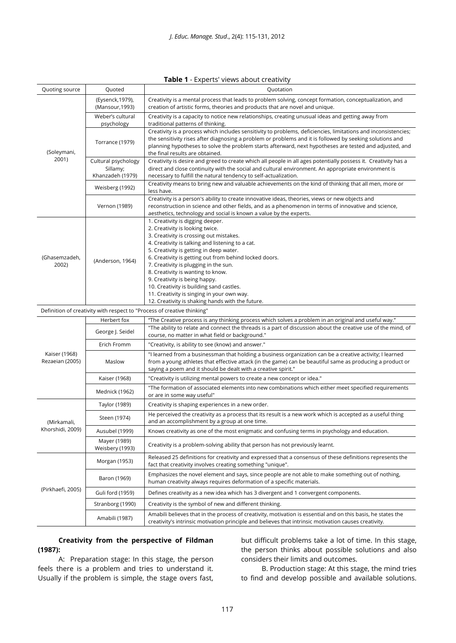| Table 1 - Experts' views about creativity |  |  |  |  |
|-------------------------------------------|--|--|--|--|
|-------------------------------------------|--|--|--|--|

| Quoting source                                                          | Quoted                                              | Quotation                                                                                                                                                                                                                                                                                                                                                                                                                                                                                                                            |  |  |
|-------------------------------------------------------------------------|-----------------------------------------------------|--------------------------------------------------------------------------------------------------------------------------------------------------------------------------------------------------------------------------------------------------------------------------------------------------------------------------------------------------------------------------------------------------------------------------------------------------------------------------------------------------------------------------------------|--|--|
| (Soleymani,<br>2001)                                                    | (Eysenck,1979),<br>(Mansour, 1993)                  | Creativity is a mental process that leads to problem solving, concept formation, conceptualization, and<br>creation of artistic forms, theories and products that are novel and unique.                                                                                                                                                                                                                                                                                                                                              |  |  |
|                                                                         | Weber's cultural<br>psychology                      | Creativity is a capacity to notice new relationships, creating unusual ideas and getting away from<br>traditional patterns of thinking.                                                                                                                                                                                                                                                                                                                                                                                              |  |  |
|                                                                         | Torrance (1979)                                     | Creativity is a process which includes sensitivity to problems, deficiencies, limitations and inconsistencies;<br>the sensitivity rises after diagnosing a problem or problems and it is followed by seeking solutions and<br>planning hypotheses to solve the problem starts afterward, next hypotheses are tested and adjusted, and<br>the final results are obtained.                                                                                                                                                             |  |  |
|                                                                         | Cultural psychology<br>Sillamy;<br>Khanzadeh (1979) | Creativity is desire and greed to create which all people in all ages potentially possess it. Creativity has a<br>direct and close continuity with the social and cultural environment. An appropriate environment is<br>necessary to fulfill the natural tendency to self-actualization.                                                                                                                                                                                                                                            |  |  |
|                                                                         | Weisberg (1992)                                     | Creativity means to bring new and valuable achievements on the kind of thinking that all men, more or<br>less have.                                                                                                                                                                                                                                                                                                                                                                                                                  |  |  |
|                                                                         | Vernon (1989)                                       | Creativity is a person's ability to create innovative ideas, theories, views or new objects and<br>reconstruction in science and other fields, and as a phenomenon in terms of innovative and science,<br>aesthetics, technology and social is known a value by the experts.                                                                                                                                                                                                                                                         |  |  |
| (Ghasemzadeh,<br>2002)                                                  | (Anderson, 1964)                                    | 1. Creativity is digging deeper.<br>2. Creativity is looking twice.<br>3. Creativity is crossing out mistakes.<br>4. Creativity is talking and listening to a cat.<br>5. Creativity is getting in deep water.<br>6. Creativity is getting out from behind locked doors.<br>7. Creativity is plugging in the sun.<br>8. Creativity is wanting to know.<br>9. Creativity is being happy.<br>10. Creativity is building sand castles.<br>11. Creativity is singing in your own way.<br>12. Creativity is shaking hands with the future. |  |  |
| Definition of creativity with respect to "Process of creative thinking" |                                                     |                                                                                                                                                                                                                                                                                                                                                                                                                                                                                                                                      |  |  |
|                                                                         | Herbert fox                                         | "The Creative process is any thinking process which solves a problem in an original and useful way."                                                                                                                                                                                                                                                                                                                                                                                                                                 |  |  |
|                                                                         | George J. Seidel                                    | "The ability to relate and connect the threads is a part of discussion about the creative use of the mind, of<br>course, no matter in what field or background."                                                                                                                                                                                                                                                                                                                                                                     |  |  |
|                                                                         | Erich Fromm                                         | "Creativity, is ability to see (know) and answer."                                                                                                                                                                                                                                                                                                                                                                                                                                                                                   |  |  |
| Kaiser (1968)<br>Rezaeian (2005)                                        | Maslow                                              | "I learned from a businessman that holding a business organization can be a creative activity; I learned<br>from a young athletes that effective attack (in the game) can be beautiful same as producing a product or<br>saying a poem and it should be dealt with a creative spirit."                                                                                                                                                                                                                                               |  |  |
|                                                                         | Kaiser (1968)                                       | "Creativity is utilizing mental powers to create a new concept or idea."                                                                                                                                                                                                                                                                                                                                                                                                                                                             |  |  |
|                                                                         | Mednick (1962)                                      | "The formation of associated elements into new combinations which either meet specified requirements<br>or are in some way useful"                                                                                                                                                                                                                                                                                                                                                                                                   |  |  |
| (Mirkamali,<br>Khorshidi, 2009)                                         | Taylor (1989)                                       | Creativity is shaping experiences in a new order.                                                                                                                                                                                                                                                                                                                                                                                                                                                                                    |  |  |
|                                                                         | Steen (1974)                                        | He perceived the creativity as a process that its result is a new work which is accepted as a useful thing<br>and an accomplishment by a group at one time.                                                                                                                                                                                                                                                                                                                                                                          |  |  |
|                                                                         | Ausubel (1999)                                      | Knows creativity as one of the most enigmatic and confusing terms in psychology and education.                                                                                                                                                                                                                                                                                                                                                                                                                                       |  |  |
|                                                                         | Mayer (1989)<br>Weisbery (1993)                     | Creativity is a problem-solving ability that person has not previously learnt.                                                                                                                                                                                                                                                                                                                                                                                                                                                       |  |  |
| (Pirkhaefi, 2005)                                                       | Morgan (1953)                                       | Released 25 definitions for creativity and expressed that a consensus of these definitions represents the<br>fact that creativity involves creating something "unique".                                                                                                                                                                                                                                                                                                                                                              |  |  |
|                                                                         | Baron (1969)                                        | Emphasizes the novel element and says, since people are not able to make something out of nothing,<br>human creativity always requires deformation of a specific materials.                                                                                                                                                                                                                                                                                                                                                          |  |  |
|                                                                         | Guli ford (1959)                                    | Defines creativity as a new idea which has 3 divergent and 1 convergent components.                                                                                                                                                                                                                                                                                                                                                                                                                                                  |  |  |
|                                                                         | Stranborg (1990)                                    | Creativity is the symbol of new and different thinking.                                                                                                                                                                                                                                                                                                                                                                                                                                                                              |  |  |
|                                                                         | Amabili (1987)                                      | Amabili believes that in the process of creativity, motivation is essential and on this basis, he states the<br>creativity's intrinsic motivation principle and believes that intrinsic motivation causes creativity.                                                                                                                                                                                                                                                                                                                |  |  |

**Creativity from the perspective of Fildman (1987):** 

A: Preparation stage: In this stage, the person feels there is a problem and tries to understand it. Usually if the problem is simple, the stage overs fast,

but difficult problems take a lot of time. In this stage, the person thinks about possible solutions and also considers their limits and outcomes.

B. Production stage: At this stage, the mind tries to find and develop possible and available solutions.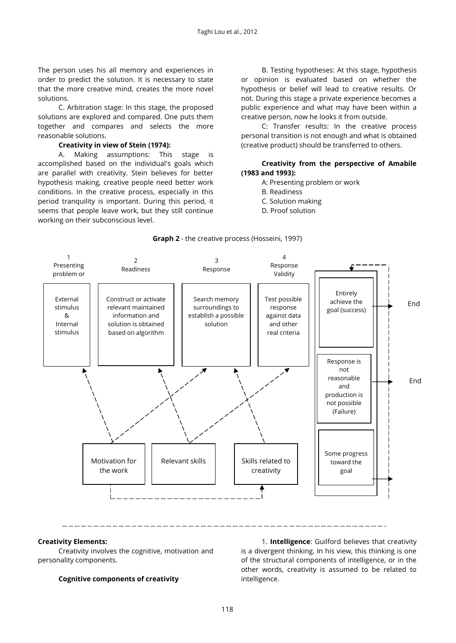The person uses his all memory and experiences in order to predict the solution. It is necessary to state that the more creative mind, creates the more novel solutions.

C. Arbitration stage: In this stage, the proposed solutions are explored and compared. One puts them together and compares and selects the more reasonable solutions.

#### **Creativity in view of Stein (1974):**

A. Making assumptions: This stage is accomplished based on the individual's goals which are parallel with creativity. Stein believes for better hypothesis making, creative people need better work conditions. In the creative process, especially in this period tranquility is important. During this period, it seems that people leave work, but they still continue working on their subconscious level.

B. Testing hypotheses: At this stage, hypothesis or opinion is evaluated based on whether the hypothesis or belief will lead to creative results. Or not. During this stage a private experience becomes a public experience and what may have been within a creative person, now he looks it from outside.

C: Transfer results: In the creative process personal transition is not enough and what is obtained (creative product) should be transferred to others.

# **Creativity from the perspective of Amabile (1983 and 1993):**

- A: Presenting problem or work
	- B. Readiness
- C. Solution making
- D. Proof solution



# **Graph 2** - the creative process (Hosseini, 1997)

#### **Creativity Elements:**

Creativity involves the cognitive, motivation and personality components.

# **Cognitive components of creativity**

1. **Intelligence**: Guilford believes that creativity is a divergent thinking. In his view, this thinking is one of the structural components of intelligence, or in the other words, creativity is assumed to be related to intelligence.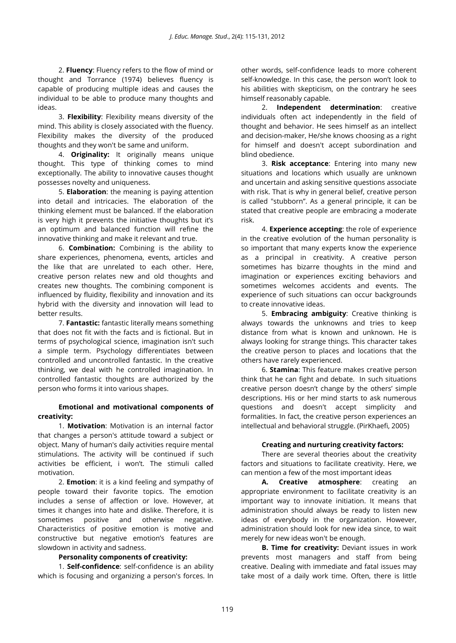2. **Fluency**: Fluency refers to the flow of mind or thought and Torrance (1974) believes fluency is capable of producing multiple ideas and causes the individual to be able to produce many thoughts and ideas.

3. **Flexibility**: Flexibility means diversity of the mind. This ability is closely associated with the fluency. Flexibility makes the diversity of the produced thoughts and they won't be same and uniform.

4. **Originality:** It originally means unique thought. This type of thinking comes to mind exceptionally. The ability to innovative causes thought possesses novelty and uniqueness.

5. **Elaboration**: the meaning is paying attention into detail and intricacies. The elaboration of the thinking element must be balanced. If the elaboration is very high it prevents the initiative thoughts but it's an optimum and balanced function will refine the innovative thinking and make it relevant and true.

6. **Combination:** Combining is the ability to share experiences, phenomena, events, articles and the like that are unrelated to each other. Here, creative person relates new and old thoughts and creates new thoughts. The combining component is influenced by fluidity, flexibility and innovation and its hybrid with the diversity and innovation will lead to better results.

7. **Fantastic:** fantastic literally means something that does not fit with the facts and is fictional. But in terms of psychological science, imagination isn't such a simple term. Psychology differentiates between controlled and uncontrolled fantastic. In the creative thinking, we deal with he controlled imagination. In controlled fantastic thoughts are authorized by the person who forms it into various shapes.

# **Emotional and motivational components of creativity:**

1. **Motivation**: Motivation is an internal factor that changes a person's attitude toward a subject or object. Many of human's daily activities require mental stimulations. The activity will be continued if such activities be efficient, i won't. The stimuli called motivation.

2. **Emotion**: it is a kind feeling and sympathy of people toward their favorite topics. The emotion includes a sense of affection or love. However, at times it changes into hate and dislike. Therefore, it is sometimes positive and otherwise negative. Characteristics of positive emotion is motive and constructive but negative emotion's features are slowdown in activity and sadness.

### **Personality components of creativity:**

1. **Self-confidence**: self-confidence is an ability which is focusing and organizing a person's forces. In other words, self-confidence leads to more coherent self-knowledge. In this case, the person won't look to his abilities with skepticism, on the contrary he sees himself reasonably capable.

2. **Independent determination**: creative individuals often act independently in the field of thought and behavior. He sees himself as an intellect and decision-maker, He/she knows choosing as a right for himself and doesn't accept subordination and blind obedience.

3. **Risk acceptance**: Entering into many new situations and locations which usually are unknown and uncertain and asking sensitive questions associate with risk. That is why in general belief, creative person is called "stubborn". As a general principle, it can be stated that creative people are embracing a moderate risk.

4. **Experience accepting**: the role of experience in the creative evolution of the human personality is so important that many experts know the experience as a principal in creativity. A creative person sometimes has bizarre thoughts in the mind and imagination or experiences exciting behaviors and sometimes welcomes accidents and events. The experience of such situations can occur backgrounds to create innovative ideas.

5. **Embracing ambiguity**: Creative thinking is always towards the unknowns and tries to keep distance from what is known and unknown. He is always looking for strange things. This character takes the creative person to places and locations that the others have rarely experienced.

6. **Stamina**: This feature makes creative person think that he can fight and debate. In such situations creative person doesn't change by the others' simple descriptions. His or her mind starts to ask numerous questions and doesn't accept simplicity and formalities. In fact, the creative person experiences an intellectual and behavioral struggle. (PirKhaefi, 2005)

### **Creating and nurturing creativity factors:**

There are several theories about the creativity factors and situations to facilitate creativity. Here, we can mention a few of the most important ideas

**A. Creative atmosphere**: creating an appropriate environment to facilitate creativity is an important way to innovate initiation. It means that administration should always be ready to listen new ideas of everybody in the organization. However, administration should look for new idea since, to wait merely for new ideas won't be enough.

**B. Time for creativity:** Deviant issues in work prevents most managers and staff from being creative. Dealing with immediate and fatal issues may take most of a daily work time. Often, there is little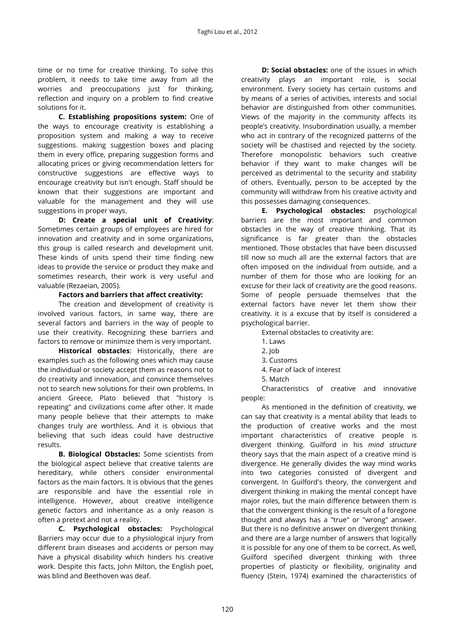time or no time for creative thinking. To solve this problem, it needs to take time away from all the worries and preoccupations just for thinking, reflection and inquiry on a problem to find creative solutions for it.

**C. Establishing propositions system:** One of the ways to encourage creativity is establishing a proposition system and making a way to receive suggestions. making suggestion boxes and placing them in every office, preparing suggestion forms and allocating prices or giving recommendation letters for constructive suggestions are effective ways to encourage creativity but isn't enough. Staff should be known that their suggestions are important and valuable for the management and they will use suggestions in proper ways.

**D: Create a special unit of Creativity**: Sometimes certain groups of employees are hired for innovation and creativity and in some organizations, this group is called research and development unit. These kinds of units spend their time finding new ideas to provide the service or product they make and sometimes research, their work is very useful and valuable (Rezaeian, 2005).

#### **Factors and barriers that affect creativity:**

The creation and development of creativity is involved various factors, in same way, there are several factors and barriers in the way of people to use their creativity. Recognizing these barriers and factors to remove or minimize them is very important.

**Historical obstacles**: Historically, there are examples such as the following ones which may cause the individual or society accept them as reasons not to do creativity and innovation, and convince themselves not to search new solutions for their own problems. In ancient Greece, Plato believed that "history is repeating" and civilizations come after other. It made many people believe that their attempts to make changes truly are worthless. And it is obvious that believing that such ideas could have destructive results.

**B. Biological Obstacles:** Some scientists from the biological aspect believe that creative talents are hereditary, while others consider environmental factors as the main factors. It is obvious that the genes are responsible and have the essential role in intelligence. However, about creative intelligence genetic factors and inheritance as a only reason is often a pretext and not a reality.

**C. Psychological obstacles:** Psychological Barriers may occur due to a physiological injury from different brain diseases and accidents or person may have a physical disability which hinders his creative work. Despite this facts, John Milton, the English poet, was blind and Beethoven was deaf.

**D: Social obstacles:** one of the issues in which creativity plays an important role, is social environment. Every society has certain customs and by means of a series of activities, interests and social behavior are distinguished from other communities. Views of the majority in the community affects its people's creativity. Insubordination usually, a member who act in contrary of the recognized patterns of the society will be chastised and rejected by the society. Therefore monopolistic behaviors such creative behavior if they want to make changes will be perceived as detrimental to the security and stability of others. Eventually, person to be accepted by the community will withdraw from his creative activity and this possesses damaging consequences.

**E. Psychological obstacles:** psychological barriers are the most important and common obstacles in the way of creative thinking. That its significance is far greater than the obstacles mentioned. Those obstacles that have been discussed till now so much all are the external factors that are often imposed on the individual from outside, and a number of them for those who are looking for an excuse for their lack of creativity are the good reasons. Some of people persuade themselves that the external factors have never let them show their creativity. it is a excuse that by itself is considered a psychological barrier.

External obstacles to creativity are:

- 1. Laws
- 2. Job
- 3. Customs
- 4. Fear of lack of interest
- 5. Match

Characteristics of creative and innovative people:

As mentioned in the definition of creativity, we can say that creativity is a mental ability that leads to the production of creative works and the most important characteristics of creative people is divergent thinking. Guilford in his *mind structure* theory says that the main aspect of a creative mind is divergence. He generally divides the way mind works into two categories consisted of divergent and convergent. In Guilford's theory, the convergent and divergent thinking in making the mental concept have major roles, but the main difference between them is that the convergent thinking is the result of a foregone thought and always has a "true" or "wrong" answer. But there is no definitive answer on divergent thinking and there are a large number of answers that logically it is possible for any one of them to be correct. As well, Guilford specified divergent thinking with three properties of plasticity or flexibility, originality and fluency (Stein, 1974) examined the characteristics of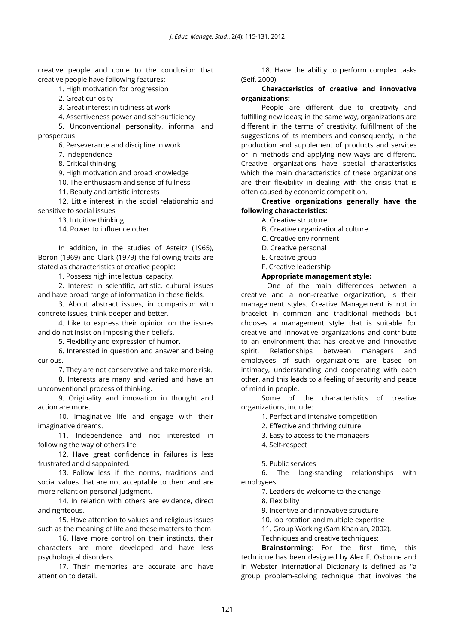creative people and come to the conclusion that creative people have following features:

1. High motivation for progression

2. Great curiosity

3. Great interest in tidiness at work

4. Assertiveness power and self-sufficiency

5. Unconventional personality, informal and prosperous

6. Perseverance and discipline in work

7. Independence

8. Critical thinking

9. High motivation and broad knowledge

10. The enthusiasm and sense of fullness

11. Beauty and artistic interests

12. Little interest in the social relationship and sensitive to social issues

13. Intuitive thinking

14. Power to influence other

In addition, in the studies of Asteitz (1965), Boron (1969) and Clark (1979) the following traits are stated as characteristics of creative people:

1. Possess high intellectual capacity.

2. Interest in scientific, artistic, cultural issues and have broad range of information in these fields.

3. About abstract issues, in comparison with concrete issues, think deeper and better.

4. Like to express their opinion on the issues and do not insist on imposing their beliefs.

5. Flexibility and expression of humor.

6. Interested in question and answer and being curious.

7. They are not conservative and take more risk.

8. Interests are many and varied and have an unconventional process of thinking.

9. Originality and innovation in thought and action are more.

10. Imaginative life and engage with their imaginative dreams.

11. Independence and not interested in following the way of others life.

12. Have great confidence in failures is less frustrated and disappointed.

13. Follow less if the norms, traditions and social values that are not acceptable to them and are more reliant on personal judgment.

14. In relation with others are evidence, direct and righteous.

15. Have attention to values and religious issues such as the meaning of life and these matters to them

16. Have more control on their instincts, their characters are more developed and have less psychological disorders.

17. Their memories are accurate and have attention to detail.

18. Have the ability to perform complex tasks (Seif, 2000).

# **Characteristics of creative and innovative organizations:**

People are different due to creativity and fulfilling new ideas; in the same way, organizations are different in the terms of creativity, fulfillment of the suggestions of its members and consequently, in the production and supplement of products and services or in methods and applying new ways are different. Creative organizations have special characteristics which the main characteristics of these organizations are their flexibility in dealing with the crisis that is often caused by economic competition.

**Creative organizations generally have the following characteristics:**

A. Creative structure

B. Creative organizational culture

C. Creative environment

D. Creative personal

E. Creative group

F. Creative leadership

#### **Appropriate management style:**

 One of the main differences between a creative and a non-creative organization, is their management styles. Creative Management is not in bracelet in common and traditional methods but chooses a management style that is suitable for creative and innovative organizations and contribute to an environment that has creative and innovative spirit. Relationships between managers and employees of such organizations are based on intimacy, understanding and cooperating with each other, and this leads to a feeling of security and peace of mind in people.

Some of the characteristics of creative organizations, include:

1. Perfect and intensive competition

2. Effective and thriving culture

3. Easy to access to the managers

4. Self-respect

5. Public services

6. The long-standing relationships with employees

7. Leaders do welcome to the change

8. Flexibility

9. Incentive and innovative structure

10. Job rotation and multiple expertise

11. Group Working (Sam Khanian, 2002).

Techniques and creative techniques:

**Brainstorming**: For the first time, this technique has been designed by Alex F. Osborne and in Webster International Dictionary is defined as "a group problem-solving technique that involves the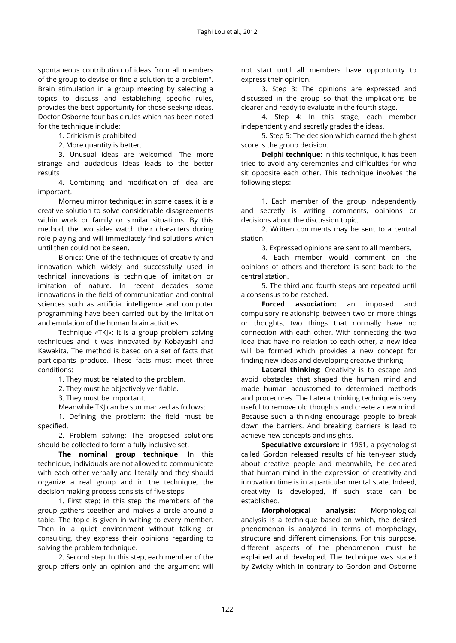spontaneous contribution of ideas from all members of the group to devise or find a solution to a problem". Brain stimulation in a group meeting by selecting a topics to discuss and establishing specific rules, provides the best opportunity for those seeking ideas. Doctor Osborne four basic rules which has been noted for the technique include:

1. Criticism is prohibited.

2. More quantity is better.

3. Unusual ideas are welcomed. The more strange and audacious ideas leads to the better results

4. Combining and modification of idea are important.

Morneu mirror technique: in some cases, it is a creative solution to solve considerable disagreements within work or family or similar situations. By this method, the two sides watch their characters during role playing and will immediately find solutions which until then could not be seen.

Bionics: One of the techniques of creativity and innovation which widely and successfully used in technical innovations is technique of imitation or imitation of nature. In recent decades some innovations in the field of communication and control sciences such as artificial intelligence and computer programming have been carried out by the imitation and emulation of the human brain activities.

Technique «TKJ»: It is a group problem solving techniques and it was innovated by Kobayashi and Kawakita. The method is based on a set of facts that participants produce. These facts must meet three conditions:

1. They must be related to the problem.

2. They must be objectively verifiable.

3. They must be important.

Meanwhile TKJ can be summarized as follows:

1. Defining the problem: the field must be specified.

2. Problem solving: The proposed solutions should be collected to form a fully inclusive set.

**The nominal group technique**: In this technique, individuals are not allowed to communicate with each other verbally and literally and they should organize a real group and in the technique, the decision making process consists of five steps:

1. First step: in this step the members of the group gathers together and makes a circle around a table. The topic is given in writing to every member. Then in a quiet environment without talking or consulting, they express their opinions regarding to solving the problem technique.

2. Second step: In this step, each member of the group offers only an opinion and the argument will not start until all members have opportunity to express their opinion.

3. Step 3: The opinions are expressed and discussed in the group so that the implications be clearer and ready to evaluate in the fourth stage.

4. Step 4: In this stage, each member independently and secretly grades the ideas.

5. Step 5: The decision which earned the highest score is the group decision.

**Delphi technique**: In this technique, it has been tried to avoid any ceremonies and difficulties for who sit opposite each other. This technique involves the following steps:

1. Each member of the group independently and secretly is writing comments, opinions or decisions about the discussion topic.

2. Written comments may be sent to a central station.

3. Expressed opinions are sent to all members.

4. Each member would comment on the opinions of others and therefore is sent back to the central station.

5. The third and fourth steps are repeated until a consensus to be reached.

**Forced association:** an imposed and compulsory relationship between two or more things or thoughts, two things that normally have no connection with each other. With connecting the two idea that have no relation to each other, a new idea will be formed which provides a new concept for finding new ideas and developing creative thinking.

**Lateral thinking**: Creativity is to escape and avoid obstacles that shaped the human mind and made human accustomed to determined methods and procedures. The Lateral thinking technique is very useful to remove old thoughts and create a new mind. Because such a thinking encourage people to break down the barriers. And breaking barriers is lead to achieve new concepts and insights.

**Speculative excursion:** in 1961, a psychologist called Gordon released results of his ten-year study about creative people and meanwhile, he declared that human mind in the expression of creativity and innovation time is in a particular mental state. Indeed, creativity is developed, if such state can be established.

**Morphological analysis:** Morphological analysis is a technique based on which, the desired phenomenon is analyzed in terms of morphology, structure and different dimensions. For this purpose, different aspects of the phenomenon must be explained and developed. The technique was stated by Zwicky which in contrary to Gordon and Osborne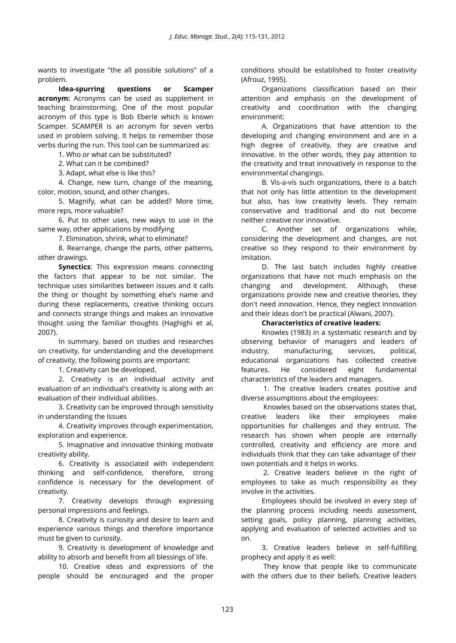wants to investigate "the all possible solutions" of a problem.

**Idea-spurring questions or Scamper acronym:** Acronyms can be used as supplement in teaching brainstorming. One of the most popular acronym of this type is Bob Eberle which is known Scamper. SCAMPER is an acronym for seven verbs used in problem solving. It helps to remember those verbs during the run. This tool can be summarized as:

1. Who or what can be substituted?

2. What can it be combined?

3. Adapt, what else is like this?

4. Change, new turn, change of the meaning, color, motion, sound, and other changes.

5. Magnify, what can be added? More time, more reps, more valuable?

6. Put to other uses, new ways to use in the same way, other applications by modifying

7. Elimination, shrink, what to eliminate?

8. Rearrange, change the parts, other patterns, other drawings.

**Synectics**: This expression means connecting the factors that appear to be not similar. The technique uses similarities between issues and it calls the thing or thought by something else's name and during these replacements, creative thinking occurs and connects strange things and makes an innovative thought using the familiar thoughts (Haghighi et al, 2007).

In summary, based on studies and researches on creativity, for understanding and the development of creativity, the following points are important:

1. Creativity can be developed.

2. Creativity is an individual activity and evaluation of an individual's creativity is along with an evaluation of their individual abilities.

3. Creativity can be improved through sensitivity in understanding the Issues

4. Creativity improves through experimentation, exploration and experience.

5. Imaginative and innovative thinking motivate creativity ability.

6. Creativity is associated with independent thinking and self-confidence, therefore, strong confidence is necessary for the development of creativity.

7. Creativity develops through expressing personal impressions and feelings.

8. Creativity is curiosity and desire to learn and experience various things and therefore importance must be given to curiosity.

9. Creativity is development of knowledge and ability to absorb and benefit from all blessings of life.

10. Creative ideas and expressions of the people should be encouraged and the proper

conditions should be established to foster creativity (Afrouz, 1995).

Organizations classification based on their attention and emphasis on the development of creativity and coordination with the changing environment:

A. Organizations that have attention to the developing and changing environment and are in a high degree of creativity, they are creative and innovative. In the other words, they pay attention to the creativity and treat innovatively in response to the environmental changings.

B. Vis-a-vis such organizations, there is a batch that not only has little attention to the development but also, has low creativity levels. They remain conservative and traditional and do not become neither creative nor innovative.

C. Another set of organizations while, considering the development and changes, are not creative so they respond to their environment by imitation.

D. The last batch includes highly creative organizations that have not much emphasis on the changing and development. Although, these organizations provide new and creative theories, they don't need innovation. Hence, they neglect innovation and their ideas don't be practical (Alwani, 2007).

# **Characteristics of creative leaders:**

Knowles (1983) in a systematic research and by observing behavior of managers and leaders of industry, manufacturing, services, political, educational organizations has collected creative features. He considered eight fundamental characteristics of the leaders and managers.

1. The creative leaders creates positive and diverse assumptions about the employees:

Knowles based on the observations states that, creative leaders like their employees make opportunities for challenges and they entrust. The research has shown when people are internally controlled, creativity and efficiency are more and individuals think that they can take advantage of their own potentials and it helps in works.

2. Creative leaders believe in the right of employees to take as much responsibility as they involve in the activities.

Employees should be involved in every step of the planning process including needs assessment, setting goals, policy planning, planning activities, applying and evaluation of selected activities and so on.

3. Creative leaders believe in self-fulfilling prophecy and apply it as well:

They know that people like to communicate with the others due to their beliefs. Creative leaders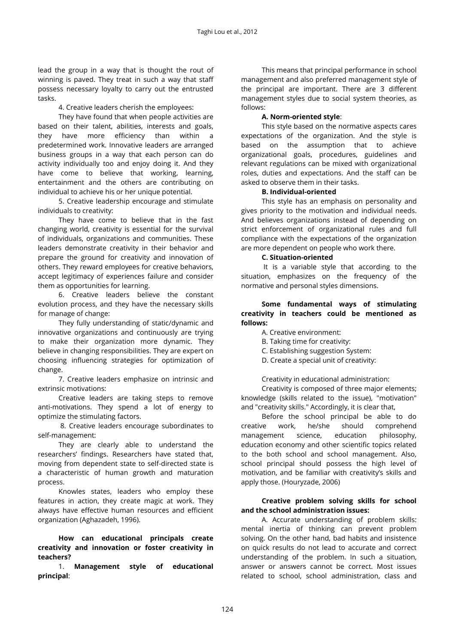lead the group in a way that is thought the rout of winning is paved. They treat in such a way that staff possess necessary loyalty to carry out the entrusted tasks.

4. Creative leaders cherish the employees:

They have found that when people activities are based on their talent, abilities, interests and goals, they have more efficiency than within a predetermined work. Innovative leaders are arranged business groups in a way that each person can do activity individually too and enjoy doing it. And they have come to believe that working, learning, entertainment and the others are contributing on individual to achieve his or her unique potential.

5. Creative leadership encourage and stimulate individuals to creativity:

They have come to believe that in the fast changing world, creativity is essential for the survival of individuals, organizations and communities. These leaders demonstrate creativity in their behavior and prepare the ground for creativity and innovation of others. They reward employees for creative behaviors, accept legitimacy of experiences failure and consider them as opportunities for learning.

6. Creative leaders believe the constant evolution process, and they have the necessary skills for manage of change:

They fully understanding of static/dynamic and innovative organizations and continuously are trying to make their organization more dynamic. They believe in changing responsibilities. They are expert on choosing influencing strategies for optimization of change.

7. Creative leaders emphasize on intrinsic and extrinsic motivations:

Creative leaders are taking steps to remove anti-motivations. They spend a lot of energy to optimize the stimulating factors.

8. Creative leaders encourage subordinates to self-management:

They are clearly able to understand the researchers' findings. Researchers have stated that, moving from dependent state to self-directed state is a characteristic of human growth and maturation process.

Knowles states, leaders who employ these features in action, they create magic at work. They always have effective human resources and efficient organization (Aghazadeh, 1996).

**How can educational principals create creativity and innovation or foster creativity in teachers?**

1. **Management style of educational principal**:

This means that principal performance in school management and also preferred management style of the principal are important. There are 3 different management styles due to social system theories, as follows:

# **A. Norm-oriented style**:

This style based on the normative aspects cares expectations of the organization. And the style is based on the assumption that to achieve organizational goals, procedures, guidelines and relevant regulations can be mixed with organizational roles, duties and expectations. And the staff can be asked to observe them in their tasks.

# **B. Individual-oriented**

This style has an emphasis on personality and gives priority to the motivation and individual needs. And believes organizations instead of depending on strict enforcement of organizational rules and full compliance with the expectations of the organization are more dependent on people who work there.

# **C. Situation-oriented**

It is a variable style that according to the situation, emphasizes on the frequency of the normative and personal styles dimensions.

# **Some fundamental ways of stimulating creativity in teachers could be mentioned as follows:**

- A. Creative environment:
- B. Taking time for creativity:
- C. Establishing suggestion System:
- D. Create a special unit of creativity:

Creativity in educational administration:

Creativity is composed of three major elements; knowledge (skills related to the issue), "motivation" and "creativity skills." Accordingly, it is clear that,

Before the school principal be able to do creative work, he/she should comprehend management science, education philosophy, education economy and other scientific topics related to the both school and school management. Also, school principal should possess the high level of motivation, and be familiar with creativity's skills and apply those. (Houryzade, 2006)

# **Creative problem solving skills for school and the school administration issues:**

A. Accurate understanding of problem skills: mental inertia of thinking can prevent problem solving. On the other hand, bad habits and insistence on quick results do not lead to accurate and correct understanding of the problem. In such a situation, answer or answers cannot be correct. Most issues related to school, school administration, class and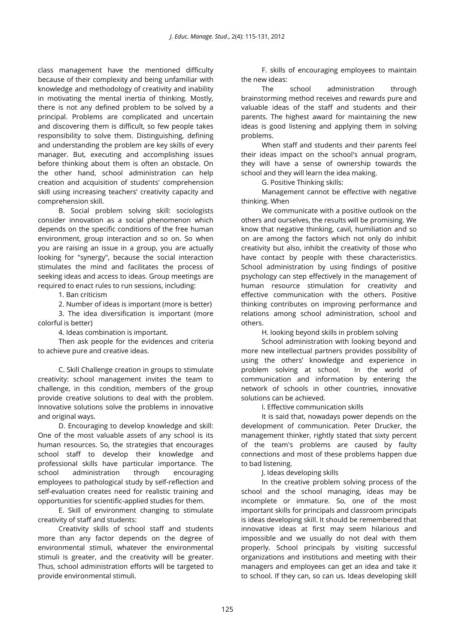class management have the mentioned difficulty because of their complexity and being unfamiliar with knowledge and methodology of creativity and inability in motivating the mental inertia of thinking. Mostly, there is not any defined problem to be solved by a principal. Problems are complicated and uncertain and discovering them is difficult, so few people takes responsibility to solve them. Distinguishing, defining and understanding the problem are key skills of every manager. But, executing and accomplishing issues before thinking about them is often an obstacle. On the other hand, school administration can help creation and acquisition of students' comprehension skill using increasing teachers' creativity capacity and comprehension skill.

B. Social problem solving skill: sociologists consider innovation as a social phenomenon which depends on the specific conditions of the free human environment, group interaction and so on. So when you are raising an issue in a group, you are actually looking for "synergy", because the social interaction stimulates the mind and facilitates the process of seeking ideas and access to ideas. Group meetings are required to enact rules to run sessions, including:

1. Ban criticism

2. Number of ideas is important (more is better)

3. The idea diversification is important (more colorful is better)

4. Ideas combination is important.

Then ask people for the evidences and criteria to achieve pure and creative ideas.

C. Skill Challenge creation in groups to stimulate creativity: school management invites the team to challenge, in this condition, members of the group provide creative solutions to deal with the problem. Innovative solutions solve the problems in innovative and original ways.

D. Encouraging to develop knowledge and skill: One of the most valuable assets of any school is its human resources. So, the strategies that encourages school staff to develop their knowledge and professional skills have particular importance. The school administration through encouraging employees to pathological study by self-reflection and self-evaluation creates need for realistic training and opportunities for scientific-applied studies for them.

E. Skill of environment changing to stimulate creativity of staff and students:

Creativity skills of school staff and students more than any factor depends on the degree of environmental stimuli, whatever the environmental stimuli is greater, and the creativity will be greater. Thus, school administration efforts will be targeted to provide environmental stimuli.

F. skills of encouraging employees to maintain the new ideas:

The school administration through brainstorming method receives and rewards pure and valuable ideas of the staff and students and their parents. The highest award for maintaining the new ideas is good listening and applying them in solving problems.

When staff and students and their parents feel their ideas impact on the school's annual program, they will have a sense of ownership towards the school and they will learn the idea making.

G. Positive Thinking skills:

Management cannot be effective with negative thinking. When

We communicate with a positive outlook on the others and ourselves, the results will be promising. We know that negative thinking, cavil, humiliation and so on are among the factors which not only do inhibit creativity but also, inhibit the creativity of those who have contact by people with these characteristics. School administration by using findings of positive psychology can step effectively in the management of human resource stimulation for creativity and effective communication with the others. Positive thinking contributes on improving performance and relations among school administration, school and others.

H. looking beyond skills in problem solving

School administration with looking beyond and more new intellectual partners provides possibility of using the others' knowledge and experience in problem solving at school. In the world of communication and information by entering the network of schools in other countries, innovative solutions can be achieved.

I. Effective communication skills

It is said that, nowadays power depends on the development of communication. Peter Drucker, the management thinker, rightly stated that sixty percent of the team's problems are caused by faulty connections and most of these problems happen due to bad listening.

J. Ideas developing skills

In the creative problem solving process of the school and the school managing, ideas may be incomplete or immature. So, one of the most important skills for principals and classroom principals is ideas developing skill. It should be remembered that innovative ideas at first may seem hilarious and impossible and we usually do not deal with them properly. School principals by visiting successful organizations and institutions and meeting with their managers and employees can get an idea and take it to school. If they can, so can us. Ideas developing skill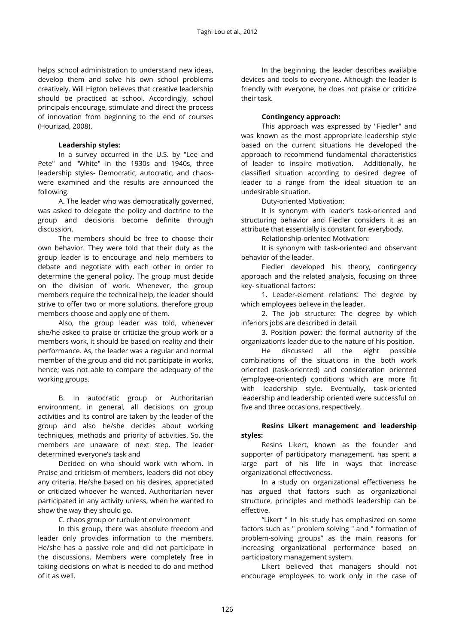helps school administration to understand new ideas, develop them and solve his own school problems creatively. [Will Higton](https://www.google.com.tr/url?sa=t&rct=j&q=&esrc=s&source=web&cd=1&cad=rja&ved=0CCUQFjAA&url=http%3A%2F%2Fwww.linkedin.com%2Fpub%2Fwill-higton%2F58%2F324%2F1b8&ei=GICzUvucKuag7AbfgoCADQ&usg=AFQjCNGdblw7Wesg5xAcj9HVBaI0zUY7Ag&sig2=wrWgyWsCEmp9fhf8NImsLw&bvm=bv.58187178,d.ZGU) believes that creative leadership should be practiced at school. Accordingly, school principals encourage, stimulate and direct the process of innovation from beginning to the end of courses (Hourizad, 2008).

#### **Leadership styles:**

In a survey occurred in the U.S. by "Lee and Pete" and "White" in the 1930s and 1940s, three leadership styles- Democratic, autocratic, and chaoswere examined and the results are announced the following.

A. The leader who was democratically governed, was asked to delegate the policy and doctrine to the group and decisions become definite through discussion.

The members should be free to choose their own behavior. They were told that their duty as the group leader is to encourage and help members to debate and negotiate with each other in order to determine the general policy. The group must decide on the division of work. Whenever, the group members require the technical help, the leader should strive to offer two or more solutions, therefore group members choose and apply one of them.

Also, the group leader was told, whenever she/he asked to praise or criticize the group work or a members work, it should be based on reality and their performance. As, the leader was a regular and normal member of the group and did not participate in works, hence; was not able to compare the adequacy of the working groups.

B. In autocratic group or Authoritarian environment, in general, all decisions on group activities and its control are taken by the leader of the group and also he/she decides about working techniques, methods and priority of activities. So, the members are unaware of next step. The leader determined everyone's task and

Decided on who should work with whom. In Praise and criticism of members, leaders did not obey any criteria. He/she based on his desires, appreciated or criticized whoever he wanted. Authoritarian never participated in any activity unless, when he wanted to show the way they should go.

C. chaos group or turbulent environment

In this group, there was absolute freedom and leader only provides information to the members. He/she has a passive role and did not participate in the discussions. Members were completely free in taking decisions on what is needed to do and method of it as well.

In the beginning, the leader describes available devices and tools to everyone. Although the leader is friendly with everyone, he does not praise or criticize their task.

#### **Contingency approach:**

This approach was expressed by "Fiedler" and was known as the most appropriate leadership style based on the current situations He developed the approach to recommend fundamental characteristics of leader to inspire motivation. Additionally, he classified situation according to desired degree of leader to a range from the ideal situation to an undesirable situation.

Duty-oriented Motivation:

It is synonym with leader's task-oriented and structuring behavior and Fiedler considers it as an attribute that essentially is constant for everybody.

Relationship-oriented Motivation:

It is synonym with task-oriented and observant behavior of the leader.

Fiedler developed his theory, contingency approach and the related analysis, focusing on three key- situational factors:

1. Leader-element relations: The degree by which employees believe in the leader.

2. The job structure: The degree by which inferiors jobs are described in detail.

3. Position power: the formal authority of the organization's leader due to the nature of his position.

He discussed all the eight possible combinations of the situations in the both work oriented (task-oriented) and consideration oriented (employee-oriented) conditions which are more fit with leadership style. Eventually, task-oriented leadership and leadership oriented were successful on five and three occasions, respectively.

# **Resins Likert management and leadership styles:**

Resins Likert, known as the founder and supporter of participatory management, has spent a large part of his life in ways that increase organizational effectiveness.

In a study on organizational effectiveness he has argued that factors such as organizational structure, principles and methods leadership can be effective.

"Likert " In his study has emphasized on some factors such as " problem solving " and " formation of problem-solving groups" as the main reasons for increasing organizational performance based on participatory management system.

Likert believed that managers should not encourage employees to work only in the case of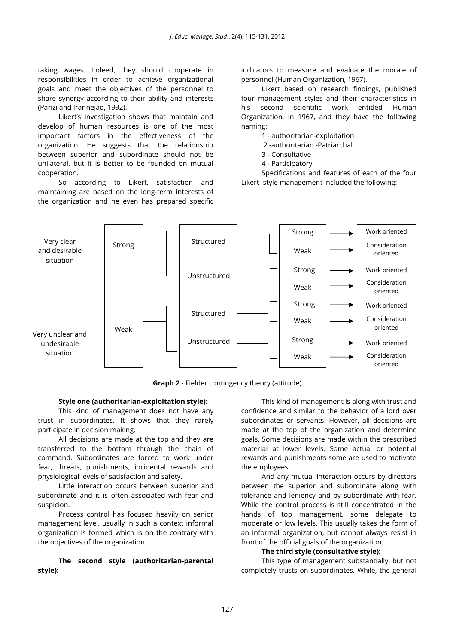taking wages. Indeed, they should cooperate in responsibilities in order to achieve organizational goals and meet the objectives of the personnel to share synergy according to their ability and interests (Parizi and Irannejad, 1992).

Likert's investigation shows that maintain and develop of human resources is one of the most important factors in the effectiveness of the organization. He suggests that the relationship between superior and subordinate should not be unilateral, but it is better to be founded on mutual cooperation.

So according to Likert, satisfaction and maintaining are based on the long-term interests of the organization and he even has prepared specific

indicators to measure and evaluate the morale of personnel (Human Organization, 1967).

Likert based on research findings, published four management styles and their characteristics in his second scientific work entitled Human Organization, in 1967, and they have the following naming:

1 - authoritarian-exploitation

2 -authoritarian -Patriarchal

3 - Consultative

4 - Participatory

Specifications and features of each of the four Likert -style management included the following:



**Graph 2** - Fielder contingency theory (attitude)

#### **Style one (authoritarian-exploitation style):**

This kind of management does not have any trust in subordinates. It shows that they rarely participate in decision making.

All decisions are made at the top and they are transferred to the bottom through the chain of command. Subordinates are forced to work under fear, threats, punishments, incidental rewards and physiological levels of satisfaction and safety.

Little interaction occurs between superior and subordinate and it is often associated with fear and suspicion.

Process control has focused heavily on senior management level, usually in such a context informal organization is formed which is on the contrary with the objectives of the organization.

**The second style (authoritarian-parental style):**

This kind of management is along with trust and confidence and similar to the behavior of a lord over subordinates or servants. However, all decisions are made at the top of the organization and determine goals. Some decisions are made within the prescribed material at lower levels. Some actual or potential rewards and punishments some are used to motivate the employees.

And any mutual interaction occurs by directors between the superior and subordinate along with tolerance and leniency and by subordinate with fear. While the control process is still concentrated in the hands of top management, some delegate to moderate or low levels. This usually takes the form of an informal organization, but cannot always resist in front of the official goals of the organization.

#### **The third style (consultative style):**

This type of management substantially, but not completely trusts on subordinates. While, the general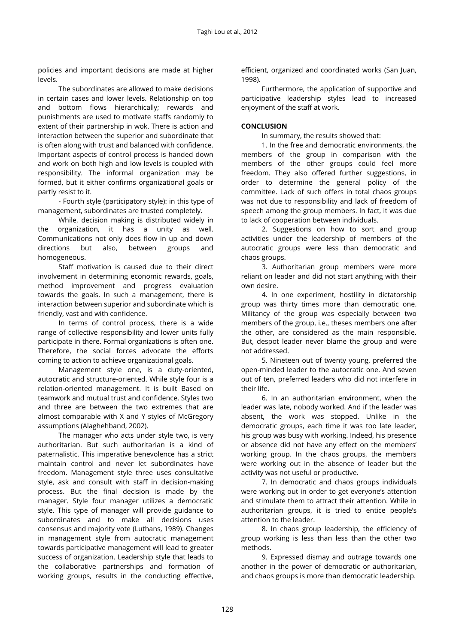policies and important decisions are made at higher levels.

The subordinates are allowed to make decisions in certain cases and lower levels. Relationship on top and bottom flows hierarchically; rewards and punishments are used to motivate staffs randomly to extent of their partnership in wok. There is action and interaction between the superior and subordinate that is often along with trust and balanced with confidence. Important aspects of control process is handed down and work on both high and low levels is coupled with responsibility. The informal organization may be formed, but it either confirms organizational goals or partly resist to it.

- Fourth style (participatory style): in this type of management, subordinates are trusted completely.

While, decision making is distributed widely in the organization, it has a unity as well. Communications not only does flow in up and down directions but also, between groups and homogeneous.

Staff motivation is caused due to their direct involvement in determining economic rewards, goals, method improvement and progress evaluation towards the goals. In such a management, there is interaction between superior and subordinate which is friendly, vast and with confidence.

In terms of control process, there is a wide range of collective responsibility and lower units fully participate in there. Formal organizations is often one. Therefore, the social forces advocate the efforts coming to action to achieve organizational goals.

Management style one, is a duty-oriented, autocratic and structure-oriented. While style four is a relation-oriented management. It is built Based on teamwork and mutual trust and confidence. Styles two and three are between the two extremes that are almost comparable with X and Y styles of McGregory assumptions (Alaghehband, 2002).

The manager who acts under style two, is very authoritarian. But such authoritarian is a kind of paternalistic. This imperative benevolence has a strict maintain control and never let subordinates have freedom. Management style three uses consultative style, ask and consult with staff in decision-making process. But the final decision is made by the manager. Style four manager utilizes a democratic style. This type of manager will provide guidance to subordinates and to make all decisions uses consensus and majority vote (Luthans, 1989). Changes in management style from autocratic management towards participative management will lead to greater success of organization. Leadership style that leads to the collaborative partnerships and formation of working groups, results in the conducting effective,

efficient, organized and coordinated works (San Juan, 1998).

Furthermore, the application of supportive and participative leadership styles lead to increased enjoyment of the staff at work.

# **CONCLUSION**

In summary, the results showed that:

1. In the free and democratic environments, the members of the group in comparison with the members of the other groups could feel more freedom. They also offered further suggestions, in order to determine the general policy of the committee. Lack of such offers in total chaos groups was not due to responsibility and lack of freedom of speech among the group members. In fact, it was due to lack of cooperation between individuals.

2. Suggestions on how to sort and group activities under the leadership of members of the autocratic groups were less than democratic and chaos groups.

3. Authoritarian group members were more reliant on leader and did not start anything with their own desire.

4. In one experiment, hostility in dictatorship group was thirty times more than democratic one. Militancy of the group was especially between two members of the group, i.e., theses members one after the other, are considered as the main responsible. But, despot leader never blame the group and were not addressed.

5. Nineteen out of twenty young, preferred the open-minded leader to the autocratic one. And seven out of ten, preferred leaders who did not interfere in their life.

6. In an authoritarian environment, when the leader was late, nobody worked. And if the leader was absent, the work was stopped. Unlike in the democratic groups, each time it was too late leader, his group was busy with working. Indeed, his presence or absence did not have any effect on the members' working group. In the chaos groups, the members were working out in the absence of leader but the activity was not useful or productive.

7. In democratic and chaos groups individuals were working out in order to get everyone's attention and stimulate them to attract their attention. While in authoritarian groups, it is tried to entice people's attention to the leader.

8. In chaos group leadership, the efficiency of group working is less than less than the other two methods.

9. Expressed dismay and outrage towards one another in the power of democratic or authoritarian, and chaos groups is more than democratic leadership.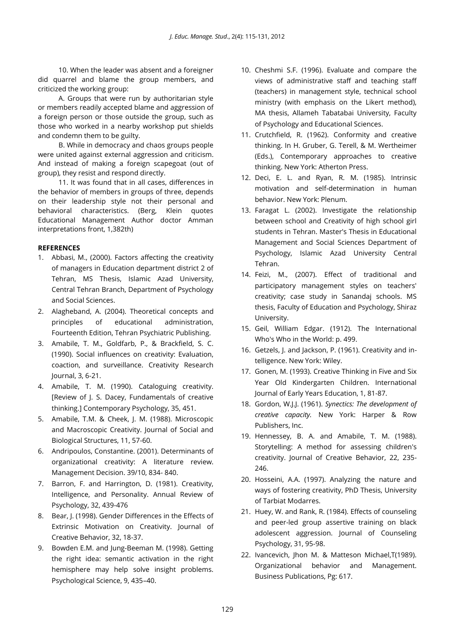10. When the leader was absent and a foreigner did quarrel and blame the group members, and criticized the working group:

A. Groups that were run by authoritarian style or members readily accepted blame and aggression of a foreign person or those outside the group, such as those who worked in a nearby workshop put shields and condemn them to be guilty.

B. While in democracy and chaos groups people were united against external aggression and criticism. And instead of making a foreign scapegoat (out of group), they resist and respond directly.

11. It was found that in all cases, differences in the behavior of members in groups of three, depends on their leadership style not their personal and behavioral characteristics. (Berg, Klein quotes Educational Management Author doctor Amman interpretations front, 1,382th)

# **REFERENCES**

- 1. Abbasi, M., (2000). Factors affecting the creativity of managers in Education department district 2 of Tehran, MS Thesis, Islamic Azad University, Central Tehran Branch, Department of Psychology and Social Sciences.
- 2. Alagheband, A. (2004). Theoretical concepts and principles of educational administration, Fourteenth Edition, Tehran Psychiatric Publishing.
- 3. Amabile, T. M., Goldfarb, P., & Brackfield, S. C. (1990). Social influences on creativity: Evaluation, coaction, and surveillance. Creativity Research Journal, 3, 6-21.
- 4. Amabile, T. M. (1990). Cataloguing creativity. [Review of J. S. Dacey, Fundamentals of creative thinking.] Contemporary Psychology, 35, 451.
- 5. Amabile, T.M. & Cheek, J. M. (1988). Microscopic and Macroscopic Creativity. Journal of Social and Biological Structures, 11, 57-60.
- 6. Andripoulos, Constantine. (2001). Determinants of organizational creativity: A literature review. Management Decision. 39/10, 834- 840.
- 7. Barron, F. and Harrington, D. (1981). Creativity, Intelligence, and Personality. Annual Review of Psychology, 32, 439-476
- 8. Bear, J. (1998). Gender Differences in the Effects of Extrinsic Motivation on Creativity. Journal of Creative Behavior, 32, 18-37.
- 9. Bowden E.M. and Jung-Beeman M. (1998). Getting the right idea: semantic activation in the right hemisphere may help solve insight problems. Psychological Science, 9, 435–40.
- 10. Cheshmi S.F. (1996). Evaluate and compare the views of administrative staff and teaching staff (teachers) in management style, technical school ministry (with emphasis on the Likert method), MA thesis, Allameh Tabatabai University, Faculty of Psychology and Educational Sciences.
- 11. Crutchfield, R. (1962). Conformity and creative thinking. In H. Gruber, G. Terell, & M. Wertheimer (Eds.), Contemporary approaches to creative thinking. New York: Atherton Press.
- 12. Deci, E. L. and Ryan, R. M. (1985). Intrinsic motivation and self-determination in human behavior. New York: Plenum.
- 13. Faragat L. (2002). Investigate the relationship between school and Creativity of high school girl students in Tehran. Master's Thesis in Educational Management and Social Sciences Department of Psychology, Islamic Azad University Central Tehran.
- 14. Feizi, M., (2007). Effect of traditional and participatory management styles on teachers' creativity; case study in Sanandaj schools. MS thesis, Faculty of Education and Psychology, Shiraz University.
- 15. Geil, William Edgar. (1912). The International Who's Who in the World: p. 499.
- 16. Getzels, J. and Jackson, P. (1961). Creativity and intelligence. New York: Wiley.
- 17. Gonen, M. (1993). Creative Thinking in Five and Six Year Old Kindergarten Children. International Journal of Early Years Education, 1, 81-87.
- 18. Gordon, W.J.J. (1961). *Synectics: The development of creative capacity.* New York: Harper & Row Publishers, Inc.
- 19. Hennessey, B. A. and Amabile, T. M. (1988). Storytelling: A method for assessing children's creativity. Journal of Creative Behavior, 22, 235- 246.
- 20. Hosseini, A.A. (1997). Analyzing the nature and ways of fostering creativity, PhD Thesis, University of Tarbiat Modarres.
- 21. Huey, W. and Rank, R. (1984). Effects of counseling and peer-led group assertive training on black adolescent aggression. Journal of Counseling Psychology, 31, 95-98.
- 22. Ivancevich, Jhon M. & Matteson Michael,T(1989). Organizational behavior and Management. Business Publications, Pg: 617.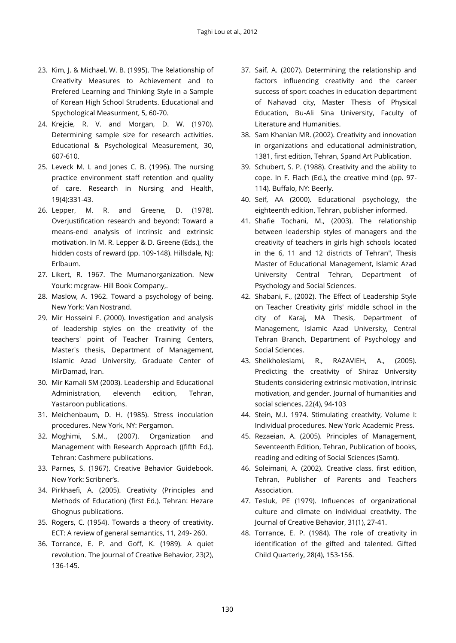- 23. Kim, J. & Michael, W. B. (1995). The Relationship of Creativity Measures to Achievement and to Prefered Learning and Thinking Style in a Sample of Korean High School Strudents. Educational and Spychological Measurment, 5, 60-70.
- 24. Krejcie, R. V. and Morgan, D. W. (1970). Determining sample size for research activities. Educational & Psychological Measurement, 30, 607-610.
- 25. Leveck M. L and Jones C. B. (1996). The nursing practice environment staff retention and quality of care. Research in Nursing and Health, 19(4):331-43.
- 26. Lepper, M. R. and Greene, D. (1978). Overjustification research and beyond: Toward a means-end analysis of intrinsic and extrinsic motivation. In M. R. Lepper & D. Greene (Eds.), the hidden costs of reward (pp. 109-148). Hillsdale, NJ: Erlbaum.
- 27. Likert, R. 1967. The Mumanorganization. New Yourk: mcgraw- Hill Book Company,.
- 28. Maslow, A. 1962. Toward a psychology of being. New York: Van Nostrand.
- 29. Mir Hosseini F. (2000). Investigation and analysis of leadership styles on the creativity of the teachers' point of Teacher Training Centers, Master's thesis, Department of Management, Islamic Azad University, Graduate Center of MirDamad, Iran.
- 30. Mir Kamali SM (2003). Leadership and Educational Administration, eleventh edition, Tehran, Yastaroon publications.
- 31. Meichenbaum, D. H. (1985). Stress inoculation procedures. New York, NY: Pergamon.
- 32. Moghimi, S.M., (2007). Organization and Management with Research Approach ((fifth Ed.). Tehran: Cashmere publications.
- 33. Parnes, S. (1967). Creative Behavior Guidebook. New York: Scribner's.
- 34. Pirkhaefi, A. (2005). Creativity (Principles and Methods of Education) (first Ed.). Tehran: Hezare Ghognus publications.
- 35. Rogers, C. (1954). Towards a theory of creativity. ECT: A review of general semantics, 11, 249- 260.
- 36. Torrance, E. P. and Goff, K. (1989). A quiet revolution. The Journal of Creative Behavior, 23(2), 136-145.
- 37. Saif, A. (2007). Determining the relationship and factors influencing creativity and the career success of sport coaches in education department of Nahavad city, Master Thesis of Physical Education, Bu-Ali Sina University, Faculty of Literature and Humanities.
- 38. Sam Khanian MR. (2002). Creativity and innovation in organizations and educational administration, 1381, first edition, Tehran, Spand Art Publication.
- 39. Schubert, S. P. (1988). Creativity and the ability to cope. In F. Flach (Ed.), the creative mind (pp. 97- 114). Buffalo, NY: Beerly.
- 40. Seif, AA (2000). Educational psychology, the eighteenth edition, Tehran, publisher informed.
- 41. Shafie Tochani, M., (2003). The relationship between leadership styles of managers and the creativity of teachers in girls high schools located in the 6, 11 and 12 districts of Tehran", Thesis Master of Educational Management, Islamic Azad University Central Tehran, Department of Psychology and Social Sciences.
- 42. Shabani, F., (2002). The Effect of Leadership Style on Teacher Creativity girls' middle school in the city of Karaj, MA Thesis, Department of Management, Islamic Azad University, Central Tehran Branch, Department of Psychology and Social Sciences.
- 43. Sheikholeslami, R., RAZAVIEH, A., (2005). Predicting the creativity of Shiraz University Students considering extrinsic motivation, intrinsic motivation, and gender. Journal of humanities and social sciences, 22(4), 94-103
- 44. Stein, M.I. 1974. Stimulating creativity, Volume I: Individual procedures. New York: Academic Press.
- 45. Rezaeian, A. (2005). Principles of Management, Seventeenth Edition, Tehran, Publication of books, reading and editing of Social Sciences (Samt).
- 46. Soleimani, A. (2002). Creative class, first edition, Tehran, Publisher of Parents and Teachers Association.
- 47. Tesluk, PE (1979). Influences of organizational culture and climate on individual creativity. The Journal of Creative Behavior, 31(1), 27-41.
- 48. Torrance, E. P. (1984). The role of creativity in identification of the gifted and talented. Gifted Child Quarterly, 28(4), 153-156.